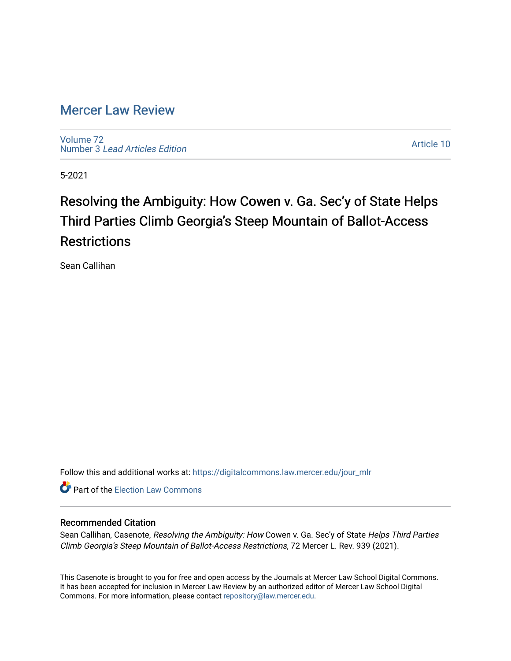# [Mercer Law Review](https://digitalcommons.law.mercer.edu/jour_mlr)

[Volume 72](https://digitalcommons.law.mercer.edu/jour_mlr/vol72) Number 3 [Lead Articles Edition](https://digitalcommons.law.mercer.edu/jour_mlr/vol72/iss3)

[Article 10](https://digitalcommons.law.mercer.edu/jour_mlr/vol72/iss3/10) 

5-2021

# Resolving the Ambiguity: How Cowen v. Ga. Sec'y of State Helps Third Parties Climb Georgia's Steep Mountain of Ballot-Access **Restrictions**

Sean Callihan

Follow this and additional works at: [https://digitalcommons.law.mercer.edu/jour\\_mlr](https://digitalcommons.law.mercer.edu/jour_mlr?utm_source=digitalcommons.law.mercer.edu%2Fjour_mlr%2Fvol72%2Fiss3%2F10&utm_medium=PDF&utm_campaign=PDFCoverPages)

**Part of the [Election Law Commons](http://network.bepress.com/hgg/discipline/1121?utm_source=digitalcommons.law.mercer.edu%2Fjour_mlr%2Fvol72%2Fiss3%2F10&utm_medium=PDF&utm_campaign=PDFCoverPages)** 

# Recommended Citation

Sean Callihan, Casenote, Resolving the Ambiguity: How Cowen v. Ga. Sec'y of State Helps Third Parties Climb Georgia's Steep Mountain of Ballot-Access Restrictions, 72 Mercer L. Rev. 939 (2021).

This Casenote is brought to you for free and open access by the Journals at Mercer Law School Digital Commons. It has been accepted for inclusion in Mercer Law Review by an authorized editor of Mercer Law School Digital Commons. For more information, please contact [repository@law.mercer.edu.](mailto:repository@law.mercer.edu)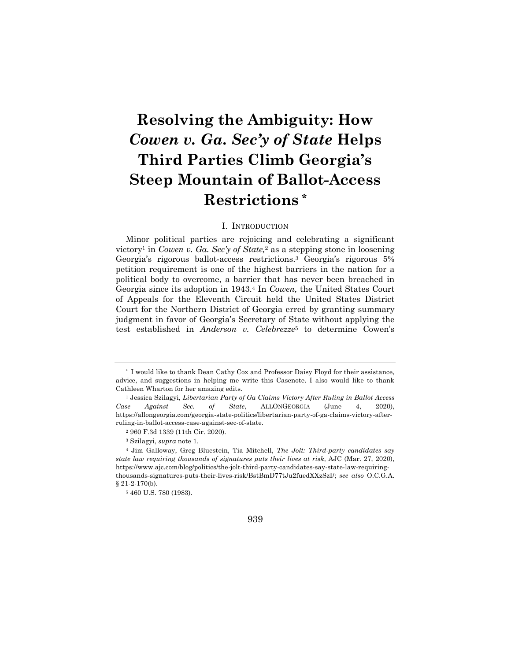# **Resolving the Ambiguity: How**  *Cowen v. Ga. Sec'y of State* **Helps Third Parties Climb Georgia's Steep Mountain of Ballot-Access Restrictions \***

## I. INTRODUCTION

Minor political parties are rejoicing and celebrating a significant victory1 in *Cowen v. Ga. Sec'y of State,*<sup>2</sup> as a stepping stone in loosening Georgia's rigorous ballot-access restrictions.3 Georgia's rigorous 5% petition requirement is one of the highest barriers in the nation for a political body to overcome, a barrier that has never been breached in Georgia since its adoption in 1943.4 In *Cowen,* the United States Court of Appeals for the Eleventh Circuit held the United States District Court for the Northern District of Georgia erred by granting summary judgment in favor of Georgia's Secretary of State without applying the test established in *Anderson v. Celebrezze*<sup>5</sup> to determine Cowen's



<sup>\*</sup> I would like to thank Dean Cathy Cox and Professor Daisy Floyd for their assistance, advice, and suggestions in helping me write this Casenote. I also would like to thank Cathleen Wharton for her amazing edits.

<sup>1</sup> Jessica Szilagyi*, Libertarian Party of Ga Claims Victory After Ruling in Ballot Access Case Against Sec. of State*, ALLONGEORGIA (June 4, 2020), https://allongeorgia.com/georgia-state-politics/libertarian-party-of-ga-claims-victory-afterruling-in-ballot-access-case-against-sec-of-state.

<sup>2</sup> 960 F.3d 1339 (11th Cir. 2020).

<sup>3</sup> Szilagyi, *supra* note 1.

<sup>4</sup> Jim Galloway, Greg Bluestein, Tia Mitchell, *The Jolt: Third-party candidates say state law requiring thousands of signatures puts their lives at risk*, AJC (Mar. 27, 2020), https://www.ajc.com/blog/politics/the-jolt-third-party-candidates-say-state-law-requiringthousands-signatures-puts-their-lives-risk/BstBmD77tJu2fuedXXzSzI/; *see also* O.C.G.A. § 21-2-170(b).

<sup>5</sup> 460 U.S. 780 (1983).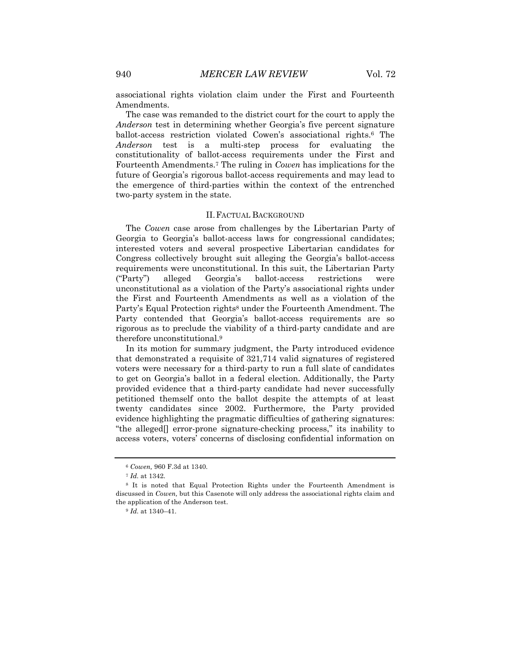associational rights violation claim under the First and Fourteenth Amendments.

The case was remanded to the district court for the court to apply the *Anderson* test in determining whether Georgia's five percent signature ballot-access restriction violated Cowen's associational rights.6 The *Anderson* test is a multi-step process for evaluating the constitutionality of ballot-access requirements under the First and Fourteenth Amendments.7 The ruling in *Cowen* has implications for the future of Georgia's rigorous ballot-access requirements and may lead to the emergence of third-parties within the context of the entrenched two-party system in the state.

#### II.FACTUAL BACKGROUND

The *Cowen* case arose from challenges by the Libertarian Party of Georgia to Georgia's ballot-access laws for congressional candidates; interested voters and several prospective Libertarian candidates for Congress collectively brought suit alleging the Georgia's ballot-access requirements were unconstitutional. In this suit, the Libertarian Party ("Party") alleged Georgia's ballot-access restrictions were unconstitutional as a violation of the Party's associational rights under the First and Fourteenth Amendments as well as a violation of the Party's Equal Protection rights<sup>8</sup> under the Fourteenth Amendment. The Party contended that Georgia's ballot-access requirements are so rigorous as to preclude the viability of a third-party candidate and are therefore unconstitutional.9

In its motion for summary judgment, the Party introduced evidence that demonstrated a requisite of 321,714 valid signatures of registered voters were necessary for a third-party to run a full slate of candidates to get on Georgia's ballot in a federal election. Additionally, the Party provided evidence that a third-party candidate had never successfully petitioned themself onto the ballot despite the attempts of at least twenty candidates since 2002. Furthermore, the Party provided evidence highlighting the pragmatic difficulties of gathering signatures: "the alleged[] error-prone signature-checking process," its inability to access voters, voters' concerns of disclosing confidential information on

<sup>6</sup> *Cowen,* 960 F.3d at 1340.

<sup>7</sup> *Id.* at 1342.

<sup>8</sup> It is noted that Equal Protection Rights under the Fourteenth Amendment is discussed in *Cowen,* but this Casenote will only address the associational rights claim and the application of the Anderson test.

<sup>9</sup> *Id.* at 1340–41.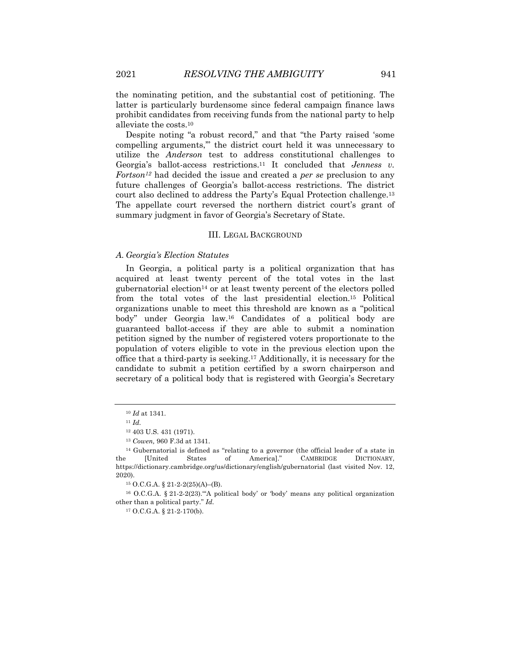the nominating petition, and the substantial cost of petitioning. The latter is particularly burdensome since federal campaign finance laws prohibit candidates from receiving funds from the national party to help alleviate the costs.10

Despite noting "a robust record," and that "the Party raised 'some compelling arguments,'" the district court held it was unnecessary to utilize the *Anderson* test to address constitutional challenges to Georgia's ballot-access restrictions.11 It concluded that *Jenness v. Fortson12* had decided the issue and created a *per se* preclusion to any future challenges of Georgia's ballot-access restrictions. The district court also declined to address the Party's Equal Protection challenge.13 The appellate court reversed the northern district court's grant of summary judgment in favor of Georgia's Secretary of State.

#### III. LEGAL BACKGROUND

#### *A. Georgia's Election Statutes*

In Georgia, a political party is a political organization that has acquired at least twenty percent of the total votes in the last gubernatorial election<sup>14</sup> or at least twenty percent of the electors polled from the total votes of the last presidential election.15 Political organizations unable to meet this threshold are known as a "political body" under Georgia law.16 Candidates of a political body are guaranteed ballot-access if they are able to submit a nomination petition signed by the number of registered voters proportionate to the population of voters eligible to vote in the previous election upon the office that a third-party is seeking.17 Additionally, it is necessary for the candidate to submit a petition certified by a sworn chairperson and secretary of a political body that is registered with Georgia's Secretary

<sup>17</sup> O.C.G.A. § 21-2-170(b).

<sup>10</sup> *Id* at 1341.

<sup>11</sup> *Id.* 

<sup>12</sup> 403 U.S. 431 (1971).

<sup>13</sup> *Cowen,* 960 F.3d at 1341.

<sup>14</sup> Gubernatorial is defined as "relating to a governor (the official leader of a state in the [United States of America]." CAMBRIDGE DICTIONARY, https://dictionary.cambridge.org/us/dictionary/english/gubernatorial (last visited Nov. 12, 2020).

<sup>15</sup> O.C.G.A. § 21-2-2(25)(A)–(B).

<sup>16</sup> O.C.G.A. § 21-2-2(23).'"A political body' or 'body' means any political organization other than a political party." *Id.*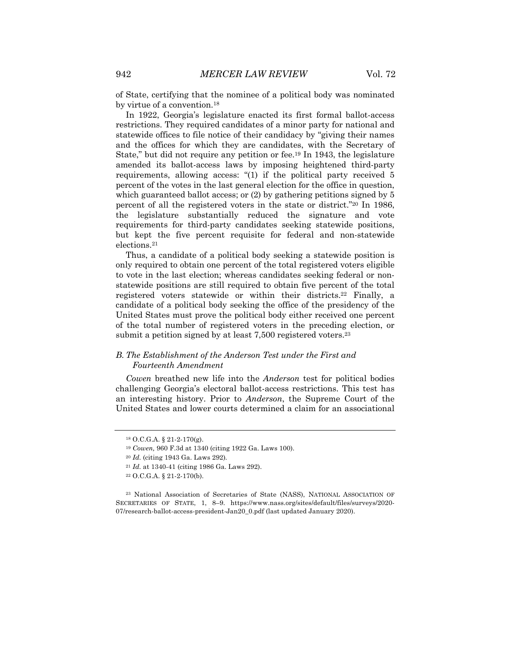of State, certifying that the nominee of a political body was nominated by virtue of a convention.18

In 1922, Georgia's legislature enacted its first formal ballot-access restrictions. They required candidates of a minor party for national and statewide offices to file notice of their candidacy by "giving their names and the offices for which they are candidates, with the Secretary of State," but did not require any petition or fee.19 In 1943, the legislature amended its ballot-access laws by imposing heightened third-party requirements, allowing access: "(1) if the political party received 5 percent of the votes in the last general election for the office in question, which guaranteed ballot access; or  $(2)$  by gathering petitions signed by 5 percent of all the registered voters in the state or district."20 In 1986, the legislature substantially reduced the signature and vote requirements for third-party candidates seeking statewide positions, but kept the five percent requisite for federal and non-statewide elections.21

Thus, a candidate of a political body seeking a statewide position is only required to obtain one percent of the total registered voters eligible to vote in the last election; whereas candidates seeking federal or nonstatewide positions are still required to obtain five percent of the total registered voters statewide or within their districts.22 Finally, a candidate of a political body seeking the office of the presidency of the United States must prove the political body either received one percent of the total number of registered voters in the preceding election, or submit a petition signed by at least 7,500 registered voters.<sup>23</sup>

# *B. The Establishment of the Anderson Test under the First and Fourteenth Amendment*

*Cowen* breathed new life into the *Anderson* test for political bodies challenging Georgia's electoral ballot-access restrictions. This test has an interesting history. Prior to *Anderson*, the Supreme Court of the United States and lower courts determined a claim for an associational

<sup>18</sup> O.C.G.A. § 21-2-170(g).

<sup>19</sup> *Cowen,* 960 F.3d at 1340 (citing 1922 Ga. Laws 100).

<sup>20</sup> *Id.* (citing 1943 Ga. Laws 292)*.* 

<sup>21</sup> *Id.* at 1340-41 (citing 1986 Ga. Laws 292).

<sup>22</sup> O.C.G.A. § 21-2-170(b).

<sup>23</sup> National Association of Secretaries of State (NASS), NATIONAL ASSOCIATION OF SECRETARIES OF STATE, 1, 8–9. https://www.nass.org/sites/default/files/surveys/2020- 07/research-ballot-access-president-Jan20\_0.pdf (last updated January 2020).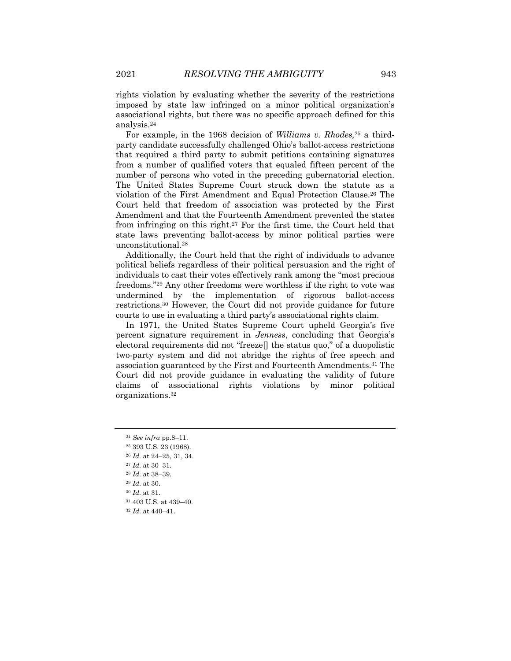rights violation by evaluating whether the severity of the restrictions imposed by state law infringed on a minor political organization's associational rights, but there was no specific approach defined for this analysis.24

For example, in the 1968 decision of *Williams v. Rhodes,*<sup>25</sup> a thirdparty candidate successfully challenged Ohio's ballot-access restrictions that required a third party to submit petitions containing signatures from a number of qualified voters that equaled fifteen percent of the number of persons who voted in the preceding gubernatorial election. The United States Supreme Court struck down the statute as a violation of the First Amendment and Equal Protection Clause.26 The Court held that freedom of association was protected by the First Amendment and that the Fourteenth Amendment prevented the states from infringing on this right.27 For the first time, the Court held that state laws preventing ballot-access by minor political parties were unconstitutional.28

Additionally, the Court held that the right of individuals to advance political beliefs regardless of their political persuasion and the right of individuals to cast their votes effectively rank among the "most precious freedoms."29 Any other freedoms were worthless if the right to vote was undermined by the implementation of rigorous ballot-access restrictions.30 However, the Court did not provide guidance for future courts to use in evaluating a third party's associational rights claim.

In 1971, the United States Supreme Court upheld Georgia's five percent signature requirement in *Jenness*, concluding that Georgia's electoral requirements did not "freeze[] the status quo," of a duopolistic two-party system and did not abridge the rights of free speech and association guaranteed by the First and Fourteenth Amendments.31 The Court did not provide guidance in evaluating the validity of future claims of associational rights violations by minor political organizations.32

<sup>31</sup> 403 U.S. at 439–40.

<sup>24</sup> *See infra* pp.8–11.

<sup>25</sup> 393 U.S. 23 (1968).

<sup>26</sup> *Id.* at 24–25, 31, 34.

<sup>27</sup> *Id.* at 30–31.

<sup>28</sup> *Id.* at 38–39.

<sup>29</sup> *Id.* at 30.

<sup>30</sup> *Id.* at 31.

<sup>32</sup> *Id.* at 440–41.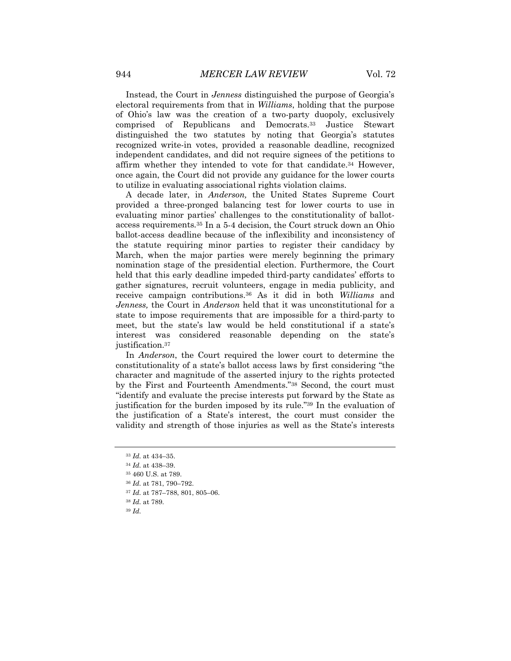Instead, the Court in *Jenness* distinguished the purpose of Georgia's electoral requirements from that in *Williams*, holding that the purpose of Ohio's law was the creation of a two-party duopoly, exclusively comprised of Republicans and Democrats.33 Justice Stewart distinguished the two statutes by noting that Georgia's statutes recognized write-in votes, provided a reasonable deadline, recognized independent candidates, and did not require signees of the petitions to affirm whether they intended to vote for that candidate.34 However, once again, the Court did not provide any guidance for the lower courts to utilize in evaluating associational rights violation claims.

A decade later, in *Anderson,* the United States Supreme Court provided a three-pronged balancing test for lower courts to use in evaluating minor parties' challenges to the constitutionality of ballotaccess requirements*.*<sup>35</sup> In a 5-4 decision, the Court struck down an Ohio ballot-access deadline because of the inflexibility and inconsistency of the statute requiring minor parties to register their candidacy by March, when the major parties were merely beginning the primary nomination stage of the presidential election. Furthermore, the Court held that this early deadline impeded third-party candidates' efforts to gather signatures, recruit volunteers, engage in media publicity, and receive campaign contributions.36 As it did in both *Williams* and *Jenness,* the Court in *Anderson* held that it was unconstitutional for a state to impose requirements that are impossible for a third-party to meet, but the state's law would be held constitutional if a state's interest was considered reasonable depending on the state's justification.37

In *Anderson*, the Court required the lower court to determine the constitutionality of a state's ballot access laws by first considering "the character and magnitude of the asserted injury to the rights protected by the First and Fourteenth Amendments."38 Second, the court must "identify and evaluate the precise interests put forward by the State as justification for the burden imposed by its rule."39 In the evaluation of the justification of a State's interest, the court must consider the validity and strength of those injuries as well as the State's interests

<sup>33</sup> *Id.* at 434–35.

<sup>34</sup> *Id.* at 438–39.

<sup>35</sup> 460 U.S. at 789.

<sup>36</sup> *Id.* at 781, 790–792.

<sup>37</sup> *Id.* at 787–788, 801, 805–06.

<sup>38</sup> *Id.* at 789.

<sup>39</sup> *Id.*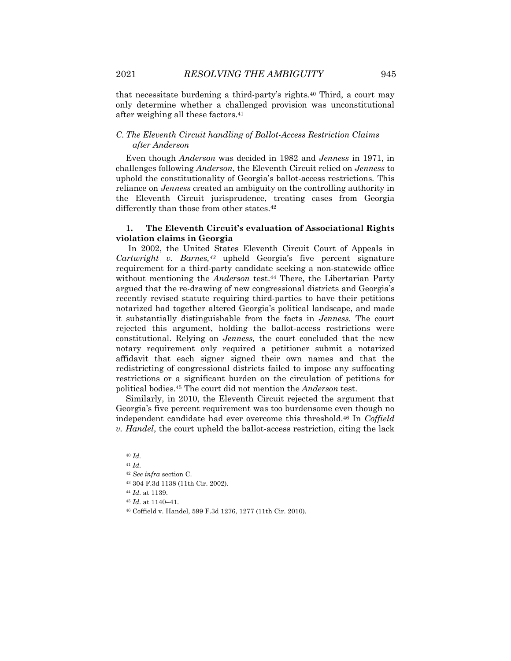that necessitate burdening a third-party's rights.40 Third, a court may only determine whether a challenged provision was unconstitutional after weighing all these factors.41

# *C. The Eleventh Circuit handling of Ballot-Access Restriction Claims after Anderson*

Even though *Anderson* was decided in 1982 and *Jenness* in 1971, in challenges following *Anderson*, the Eleventh Circuit relied on *Jenness* to uphold the constitutionality of Georgia's ballot-access restrictions*.* This reliance on *Jenness* created an ambiguity on the controlling authority in the Eleventh Circuit jurisprudence, treating cases from Georgia differently than those from other states.<sup>42</sup>

# **1. The Eleventh Circuit's evaluation of Associational Rights violation claims in Georgia**

In 2002, the United States Eleventh Circuit Court of Appeals in *Cartwright v. Barnes,43* upheld Georgia's five percent signature requirement for a third-party candidate seeking a non-statewide office without mentioning the *Anderson* test.<sup>44</sup> There, the Libertarian Party argued that the re-drawing of new congressional districts and Georgia's recently revised statute requiring third-parties to have their petitions notarized had together altered Georgia's political landscape, and made it substantially distinguishable from the facts in *Jenness.* The court rejected this argument, holding the ballot-access restrictions were constitutional. Relying on *Jenness,* the court concluded that the new notary requirement only required a petitioner submit a notarized affidavit that each signer signed their own names and that the redistricting of congressional districts failed to impose any suffocating restrictions or a significant burden on the circulation of petitions for political bodies.45 The court did not mention the *Anderson* test.

Similarly, in 2010, the Eleventh Circuit rejected the argument that Georgia's five percent requirement was too burdensome even though no independent candidate had ever overcome this threshold.46 In *Coffield v. Handel*, the court upheld the ballot-access restriction, citing the lack

<sup>40</sup> *Id.* 

<sup>41</sup> *Id.*

<sup>42</sup> *See infra* section C.

<sup>43</sup> 304 F.3d 1138 (11th Cir. 2002).

<sup>44</sup> *Id.* at 1139.

<sup>45</sup> *Id.* at 1140–41.

<sup>46</sup> Coffield v. Handel, 599 F.3d 1276, 1277 (11th Cir. 2010).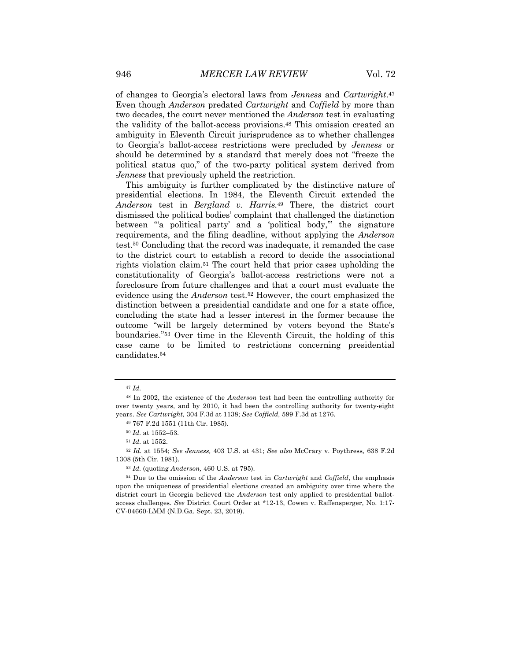of changes to Georgia's electoral laws from *Jenness* and *Cartwright*.47 Even though *Anderson* predated *Cartwright* and *Coffield* by more than two decades, the court never mentioned the *Anderson* test in evaluating the validity of the ballot-access provisions.48 This omission created an ambiguity in Eleventh Circuit jurisprudence as to whether challenges to Georgia's ballot-access restrictions were precluded by *Jenness* or should be determined by a standard that merely does not "freeze the political status quo," of the two-party political system derived from *Jenness* that previously upheld the restriction.

This ambiguity is further complicated by the distinctive nature of presidential elections. In 1984, the Eleventh Circuit extended the *Anderson* test in *Bergland v. Harris.*<sup>49</sup> There, the district court dismissed the political bodies' complaint that challenged the distinction between '"a political party' and a 'political body,'" the signature requirements, and the filing deadline, without applying the *Anderson*  test.50 Concluding that the record was inadequate, it remanded the case to the district court to establish a record to decide the associational rights violation claim.51 The court held that prior cases upholding the constitutionality of Georgia's ballot-access restrictions were not a foreclosure from future challenges and that a court must evaluate the evidence using the *Anderson* test.52 However, the court emphasized the distinction between a presidential candidate and one for a state office, concluding the state had a lesser interest in the former because the outcome "will be largely determined by voters beyond the State's boundaries."53 Over time in the Eleventh Circuit, the holding of this case came to be limited to restrictions concerning presidential candidates.54

<sup>52</sup> *Id.* at 1554; *See Jenness,* 403 U.S. at 431; *See also* McCrary v. Poythress*,* 638 F.2d 1308 (5th Cir. 1981).

<sup>53</sup> *Id.* (quoting *Anderson,* 460 U.S. at 795).

<sup>47</sup> *Id.* 

<sup>48</sup> In 2002, the existence of the *Anderson* test had been the controlling authority for over twenty years, and by 2010, it had been the controlling authority for twenty-eight years. *See Cartwright,* 304 F.3d at 1138; *See Coffield,* 599 F.3d at 1276.

<sup>49</sup> 767 F.2d 1551 (11th Cir. 1985).

<sup>50</sup> *Id.* at 1552–53.

<sup>51</sup> *Id.* at 1552.

<sup>54</sup> Due to the omission of the *Anderson* test in *Cartwright* and *Coffield*, the emphasis upon the uniqueness of presidential elections created an ambiguity over time where the district court in Georgia believed the *Anderson* test only applied to presidential ballotaccess challenges. *See* District Court Order at \*12-13, Cowen v. Raffensperger, No. 1:17- CV-04660-LMM (N.D.Ga. Sept. 23, 2019).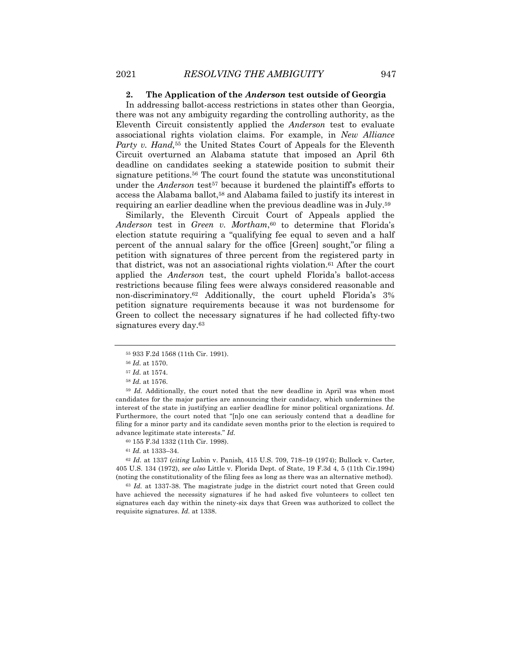#### **2. The Application of the** *Anderson* **test outside of Georgia**

In addressing ballot-access restrictions in states other than Georgia, there was not any ambiguity regarding the controlling authority, as the Eleventh Circuit consistently applied the *Anderson* test to evaluate associational rights violation claims. For example, in *New Alliance Party v. Hand,*<sup>55</sup> the United States Court of Appeals for the Eleventh Circuit overturned an Alabama statute that imposed an April 6th deadline on candidates seeking a statewide position to submit their signature petitions.56 The court found the statute was unconstitutional under the *Anderson* test<sup>57</sup> because it burdened the plaintiff's efforts to access the Alabama ballot,58 and Alabama failed to justify its interest in requiring an earlier deadline when the previous deadline was in July.59

Similarly, the Eleventh Circuit Court of Appeals applied the *Anderson* test in *Green v. Mortham*,60 to determine that Florida's election statute requiring a "qualifying fee equal to seven and a half percent of the annual salary for the office [Green] sought,"or filing a petition with signatures of three percent from the registered party in that district, was not an associational rights violation.61 After the court applied the *Anderson* test, the court upheld Florida's ballot-access restrictions because filing fees were always considered reasonable and non-discriminatory.62 Additionally, the court upheld Florida's 3% petition signature requirements because it was not burdensome for Green to collect the necessary signatures if he had collected fifty-two signatures every day.63

<sup>59</sup> *Id.* Additionally, the court noted that the new deadline in April was when most candidates for the major parties are announcing their candidacy, which undermines the interest of the state in justifying an earlier deadline for minor political organizations. *Id.*  Furthermore, the court noted that "[n]o one can seriously contend that a deadline for filing for a minor party and its candidate seven months prior to the election is required to advance legitimate state interests." *Id.* 

<sup>62</sup> *Id.* at 1337 (*citing* Lubin v. Panish*,* 415 U.S. 709, 718–19 (1974); Bullock v. Carter*,*  405 U.S. 134 (1972), *see also* Little v. Florida Dept. of State, 19 F.3d 4, 5 (11th Cir.1994) (noting the constitutionality of the filing fees as long as there was an alternative method).

<sup>63</sup> *Id.* at 1337-38. The magistrate judge in the district court noted that Green could have achieved the necessity signatures if he had asked five volunteers to collect ten signatures each day within the ninety-six days that Green was authorized to collect the requisite signatures. *Id.* at 1338.

<sup>55</sup> 933 F.2d 1568 (11th Cir. 1991).

<sup>56</sup> *Id.* at 1570.

<sup>57</sup> *Id.* at 1574.

<sup>58</sup> *Id.* at 1576.

<sup>60</sup> 155 F.3d 1332 (11th Cir. 1998).

<sup>61</sup> *Id.* at 1333–34.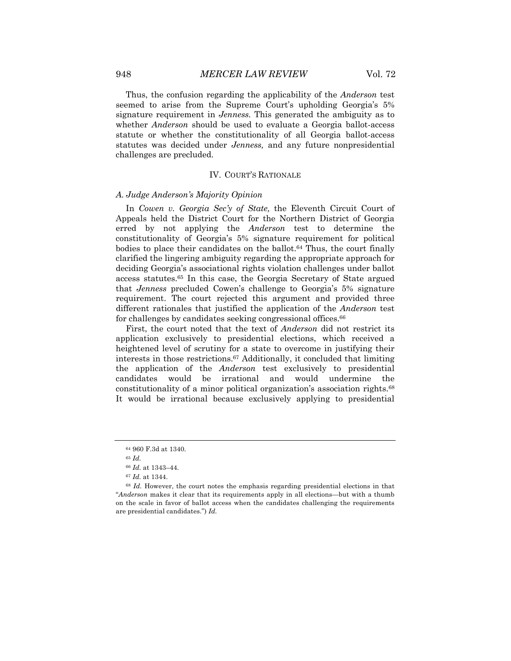Thus, the confusion regarding the applicability of the *Anderson* test seemed to arise from the Supreme Court's upholding Georgia's 5% signature requirement in *Jenness.* This generated the ambiguity as to whether *Anderson* should be used to evaluate a Georgia ballot-access statute or whether the constitutionality of all Georgia ballot-access statutes was decided under *Jenness,* and any future nonpresidential challenges are precluded.

### IV. COURT'S RATIONALE

# *A. Judge Anderson's Majority Opinion*

In *Cowen v. Georgia Sec'y of State,* the Eleventh Circuit Court of Appeals held the District Court for the Northern District of Georgia erred by not applying the *Anderson* test to determine the constitutionality of Georgia's 5% signature requirement for political bodies to place their candidates on the ballot.<sup>64</sup> Thus, the court finally clarified the lingering ambiguity regarding the appropriate approach for deciding Georgia's associational rights violation challenges under ballot access statutes.65 In this case, the Georgia Secretary of State argued that *Jenness* precluded Cowen's challenge to Georgia's 5% signature requirement. The court rejected this argument and provided three different rationales that justified the application of the *Anderson* test for challenges by candidates seeking congressional offices.<sup>66</sup>

First, the court noted that the text of *Anderson* did not restrict its application exclusively to presidential elections, which received a heightened level of scrutiny for a state to overcome in justifying their interests in those restrictions.67 Additionally, it concluded that limiting the application of the *Anderson* test exclusively to presidential candidates would be irrational and would undermine the constitutionality of a minor political organization's association rights.68 It would be irrational because exclusively applying to presidential

<sup>64</sup> 960 F.3d at 1340.

<sup>65</sup> *Id.* 

<sup>66</sup> *Id.* at 1343–44.

<sup>67</sup> *Id.* at 1344.

<sup>&</sup>lt;sup>68</sup> *Id.* However, the court notes the emphasis regarding presidential elections in that "*Anderson* makes it clear that its requirements apply in all elections—but with a thumb on the scale in favor of ballot access when the candidates challenging the requirements are presidential candidates.") *Id.*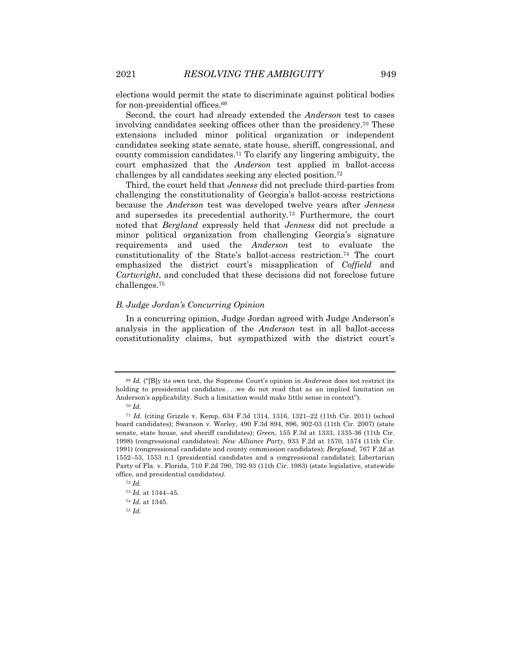elections would permit the state to discriminate against political bodies for non-presidential offices.69

Second, the court had already extended the *Anderson* test to cases involving candidates seeking offices other than the presidency.70 These extensions included minor political organization or independent candidates seeking state senate, state house, sheriff, congressional, and county commission candidates.71 To clarify any lingering ambiguity, the court emphasized that the *Anderson* test applied in ballot-access challenges by all candidates seeking any elected position.72

Third, the court held that *Jenness* did not preclude third-parties from challenging the constitutionality of Georgia's ballot-access restrictions because the *Anderson* test was developed twelve years after *Jenness*  and supersedes its precedential authority*.*<sup>73</sup> Furthermore, the court noted that *Bergland* expressly held that *Jenness* did not preclude a minor political organization from challenging Georgia's signature requirements and used the *Anderson* test to evaluate the constitutionality of the State's ballot-access restriction.74 The court emphasized the district court's misapplication of *Coffield* and *Cartwright*, and concluded that these decisions did not foreclose future challenges.75

### *B. Judge Jordan's Concurring Opinion*

In a concurring opinion, Judge Jordan agreed with Judge Anderson's analysis in the application of the *Anderson* test in all ballot-access constitutionality claims, but sympathized with the district court's

<sup>72</sup> *Id.*  <sup>73</sup> *Id.* at 1344–45.

<sup>69</sup> *Id.* ("[B]y its own text, the Supreme Court's opinion in *Anderson* does not restrict its holding to presidential candidates ... we do not read that as an implied limitation on Anderson's applicability. Such a limitation would make little sense in context").

<sup>70</sup> *Id.* 

<sup>71</sup> *Id.* (citing Grizzle v. Kemp, 634 F.3d 1314, 1316, 1321–22 (11th Cir. 2011) (school board candidates); Swanson v. Worley, 490 F.3d 894, 896, 902-03 (11th Cir. 2007) (state senate, state house, and sheriff candidates); *Green,* 155 F.3d at 1333, 1335-36 (11th Cir. 1998) (congressional candidates); *New Alliance Party,* 933 F.2d at 1570, 1574 (11th Cir. 1991) (congressional candidate and county commission candidates); *Bergland*, 767 F.2d at 1552–53, 1553 n.1 (presidential candidates and a congressional candidate); Libertarian Party of Fla. v. Florida, 710 F.2d 790, 792-93 (11th Cir. 1983) (state legislative, statewide office, and presidential candidates*).* 

<sup>74</sup> *Id.* at 1345.

<sup>75</sup> *Id.*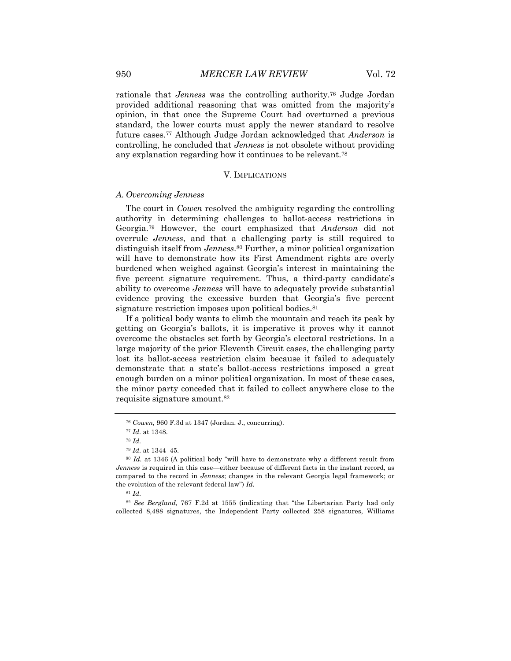rationale that *Jenness* was the controlling authority.76 Judge Jordan provided additional reasoning that was omitted from the majority's opinion, in that once the Supreme Court had overturned a previous standard, the lower courts must apply the newer standard to resolve future cases.77 Although Judge Jordan acknowledged that *Anderson* is controlling, he concluded that *Jenness* is not obsolete without providing any explanation regarding how it continues to be relevant.78

# V. IMPLICATIONS

#### *A. Overcoming Jenness*

The court in *Cowen* resolved the ambiguity regarding the controlling authority in determining challenges to ballot-access restrictions in Georgia.79 However, the court emphasized that *Anderson* did not overrule *Jenness*, and that a challenging party is still required to distinguish itself from *Jenness*.80 Further, a minor political organization will have to demonstrate how its First Amendment rights are overly burdened when weighed against Georgia's interest in maintaining the five percent signature requirement. Thus, a third-party candidate's ability to overcome *Jenness* will have to adequately provide substantial evidence proving the excessive burden that Georgia's five percent signature restriction imposes upon political bodies.<sup>81</sup>

If a political body wants to climb the mountain and reach its peak by getting on Georgia's ballots, it is imperative it proves why it cannot overcome the obstacles set forth by Georgia's electoral restrictions. In a large majority of the prior Eleventh Circuit cases, the challenging party lost its ballot-access restriction claim because it failed to adequately demonstrate that a state's ballot-access restrictions imposed a great enough burden on a minor political organization. In most of these cases, the minor party conceded that it failed to collect anywhere close to the requisite signature amount.82

<sup>76</sup> *Cowen,* 960 F.3d at 1347 (Jordan. J., concurring).

<sup>77</sup> *Id.* at 1348.

<sup>78</sup> *Id.* 

<sup>79</sup> *Id.* at 1344–45.

<sup>80</sup> *Id.* at 1346 (A political body "will have to demonstrate why a different result from *Jenness* is required in this case—either because of different facts in the instant record, as compared to the record in *Jenness*; changes in the relevant Georgia legal framework; or the evolution of the relevant federal law") *Id.*

<sup>81</sup> *Id.* 

<sup>82</sup> *See Bergland,* 767 F.2d at 1555 (indicating that "the Libertarian Party had only collected 8,488 signatures, the Independent Party collected 258 signatures, Williams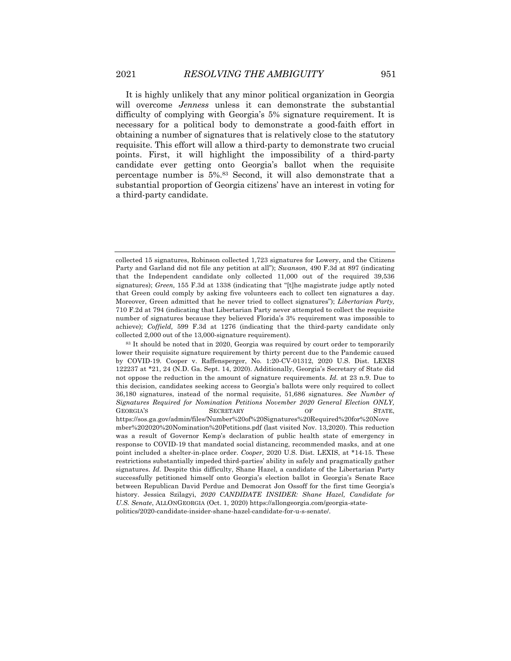It is highly unlikely that any minor political organization in Georgia will overcome *Jenness* unless it can demonstrate the substantial difficulty of complying with Georgia's 5% signature requirement. It is necessary for a political body to demonstrate a good-faith effort in obtaining a number of signatures that is relatively close to the statutory requisite. This effort will allow a third-party to demonstrate two crucial points. First, it will highlight the impossibility of a third-party candidate ever getting onto Georgia's ballot when the requisite percentage number is 5%.83 Second, it will also demonstrate that a substantial proportion of Georgia citizens' have an interest in voting for a third-party candidate.

<sup>83</sup> It should be noted that in 2020, Georgia was required by court order to temporarily lower their requisite signature requirement by thirty percent due to the Pandemic caused by COVID-19. Cooper v. Raffensperger, No. 1:20-CV-01312, 2020 U.S. Dist. LEXIS 122237 at \*21, 24 (N.D. Ga. Sept. 14, 2020). Additionally, Georgia's Secretary of State did not oppose the reduction in the amount of signature requirements. *Id.* at 23 n.9. Due to this decision, candidates seeking access to Georgia's ballots were only required to collect 36,180 signatures, instead of the normal requisite, 51,686 signatures. *See Number of Signatures Required for Nomination Petitions November 2020 General Election ONLY,* GEORGIA'S SECRETARY OF STATE, https://sos.ga.gov/admin/files/Number%20of%20Signatures%20Required%20for%20Nove mber%202020%20Nomination%20Petitions.pdf (last visited Nov. 13,2020). This reduction was a result of Governor Kemp's declaration of public health state of emergency in response to COVID-19 that mandated social distancing, recommended masks, and at one point included a shelter-in-place order. *Cooper,* 2020 U.S. Dist. LEXIS, at \*14-15. These restrictions substantially impeded third-parties' ability in safely and pragmatically gather signatures. *Id.* Despite this difficulty, Shane Hazel, a candidate of the Libertarian Party successfully petitioned himself onto Georgia's election ballot in Georgia's Senate Race between Republican David Perdue and Democrat Jon Ossoff for the first time Georgia's history. Jessica Szilagyi, *2020 CANDIDATE INSIDER: Shane Hazel, Candidate for U.S. Senate*, ALLONGEORGIA (Oct. 1, 2020) https://allongeorgia.com/georgia-statepolitics/2020-candidate-insider-shane-hazel-candidate-for-u-s-senate/.

collected 15 signatures, Robinson collected 1,723 signatures for Lowery, and the Citizens Party and Garland did not file any petition at all"); *Swanson,* 490 F.3d at 897 (indicating that the Independent candidate only collected 11,000 out of the required 39,536 signatures); *Green,* 155 F.3d at 1338 (indicating that "[t]he magistrate judge aptly noted that Green could comply by asking five volunteers each to collect ten signatures a day. Moreover, Green admitted that he never tried to collect signatures"); *Libertarian Party,*  710 F.2d at 794 (indicating that Libertarian Party never attempted to collect the requisite number of signatures because they believed Florida's 3% requirement was impossible to achieve); *Coffield,* 599 F.3d at 1276 (indicating that the third-party candidate only collected 2,000 out of the 13,000-signature requirement).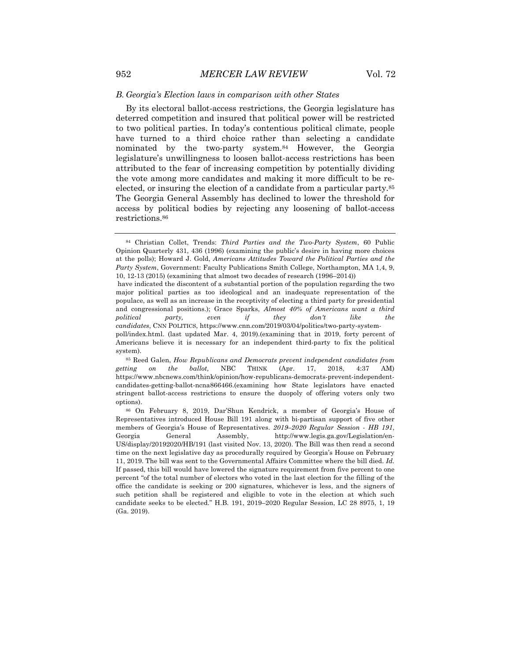#### *B. Georgia's Election laws in comparison with other States*

By its electoral ballot-access restrictions, the Georgia legislature has deterred competition and insured that political power will be restricted to two political parties. In today's contentious political climate, people have turned to a third choice rather than selecting a candidate nominated by the two-party system.84 However, the Georgia legislature's unwillingness to loosen ballot-access restrictions has been attributed to the fear of increasing competition by potentially dividing the vote among more candidates and making it more difficult to be reelected, or insuring the election of a candidate from a particular party.<sup>85</sup> The Georgia General Assembly has declined to lower the threshold for access by political bodies by rejecting any loosening of ballot-access restrictions.86

have indicated the discontent of a substantial portion of the population regarding the two major political parties as too ideological and an inadequate representation of the populace, as well as an increase in the receptivity of electing a third party for presidential and congressional positions.); Grace Sparks, *Almost 40% of Americans want a third political party, even if they don't like the candidates*, CNN POLITICS, https://www.cnn.com/2019/03/04/politics/two-party-systempoll/index.html. (last updated Mar. 4, 2019).(examining that in 2019, forty percent of Americans believe it is necessary for an independent third-party to fix the political system).

<sup>84</sup> Christian Collet, Trends: *Third Parties and the Two-Party System*, 60 Public Opinion Quarterly 431, 436 (1996) (examining the public's desire in having more choices at the polls); Howard J. Gold, *Americans Attitudes Toward the Political Parties and the Party System*, Government: Faculty Publications Smith College, Northampton, MA 1,4, 9, 10, 12-13 (2015) (examining that almost two decades of research (1996–2014))

<sup>85</sup> Reed Galen, *How Republicans and Democrats prevent independent candidates from getting on the ballot,* NBC THINK (Apr. 17, 2018, 4:37 AM) https://www.nbcnews.com/think/opinion/how-republicans-democrats-prevent-independentcandidates-getting-ballot-ncna866466.(examining how State legislators have enacted stringent ballot-access restrictions to ensure the duopoly of offering voters only two options).

<sup>86</sup> On February 8, 2019, Dar'Shun Kendrick, a member of Georgia's House of Representatives introduced House Bill 191 along with bi-partisan support of five other members of Georgia's House of Representatives. *2019–2020 Regular Session - HB 191*, Georgia General Assembly, http://www.legis.ga.gov/Legislation/en-US/display/20192020/HB/191 (last visited Nov. 13, 2020). The Bill was then read a second time on the next legislative day as procedurally required by Georgia's House on February 11, 2019. The bill was sent to the Governmental Affairs Committee where the bill died. *Id.* If passed, this bill would have lowered the signature requirement from five percent to one percent "of the total number of electors who voted in the last election for the filling of the office the candidate is seeking or 200 signatures, whichever is less, and the signers of such petition shall be registered and eligible to vote in the election at which such candidate seeks to be elected." H.B. 191, 2019–2020 Regular Session, LC 28 8975, 1, 19 (Ga. 2019).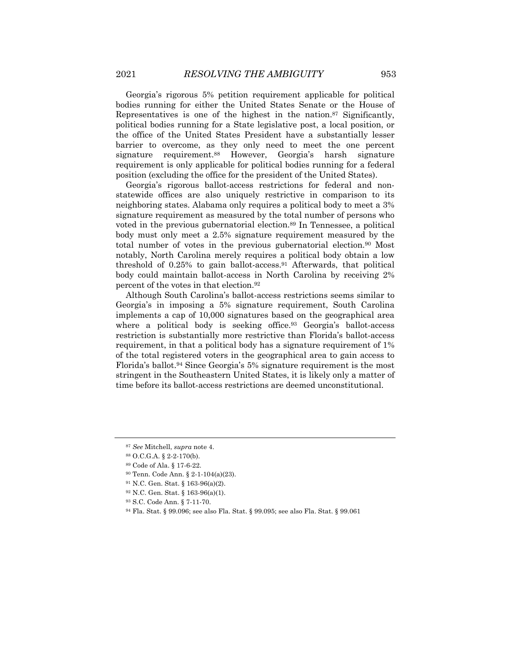Georgia's rigorous 5% petition requirement applicable for political bodies running for either the United States Senate or the House of Representatives is one of the highest in the nation.87 Significantly, political bodies running for a State legislative post, a local position, or the office of the United States President have a substantially lesser barrier to overcome, as they only need to meet the one percent signature requirement.88 However, Georgia's harsh signature requirement is only applicable for political bodies running for a federal position (excluding the office for the president of the United States).

Georgia's rigorous ballot-access restrictions for federal and nonstatewide offices are also uniquely restrictive in comparison to its neighboring states. Alabama only requires a political body to meet a 3% signature requirement as measured by the total number of persons who voted in the previous gubernatorial election.<sup>89</sup> In Tennessee, a political body must only meet a 2.5% signature requirement measured by the total number of votes in the previous gubernatorial election.90 Most notably, North Carolina merely requires a political body obtain a low threshold of 0.25% to gain ballot-access.91 Afterwards, that political body could maintain ballot-access in North Carolina by receiving 2% percent of the votes in that election.92

Although South Carolina's ballot-access restrictions seems similar to Georgia's in imposing a 5% signature requirement, South Carolina implements a cap of 10,000 signatures based on the geographical area where a political body is seeking office.<sup>93</sup> Georgia's ballot-access restriction is substantially more restrictive than Florida's ballot-access requirement, in that a political body has a signature requirement of 1% of the total registered voters in the geographical area to gain access to Florida's ballot.94 Since Georgia's 5% signature requirement is the most stringent in the Southeastern United States, it is likely only a matter of time before its ballot-access restrictions are deemed unconstitutional.

<sup>87</sup> *See* Mitchell, *supra* note 4.

<sup>88</sup> O.C.G.A. § 2-2-170(b).

<sup>89</sup> Code of Ala. § 17-6-22.

<sup>90</sup> Tenn. Code Ann. § 2-1-104(a)(23).

<sup>91</sup> N.C. Gen. Stat. § 163-96(a)(2).

<sup>92</sup> N.C. Gen. Stat. § 163-96(a)(1).

<sup>93</sup> S.C. Code Ann. § 7-11-70.

<sup>94</sup> Fla. Stat. § 99.096; see also Fla. Stat. § 99.095; see also Fla. Stat. § 99.061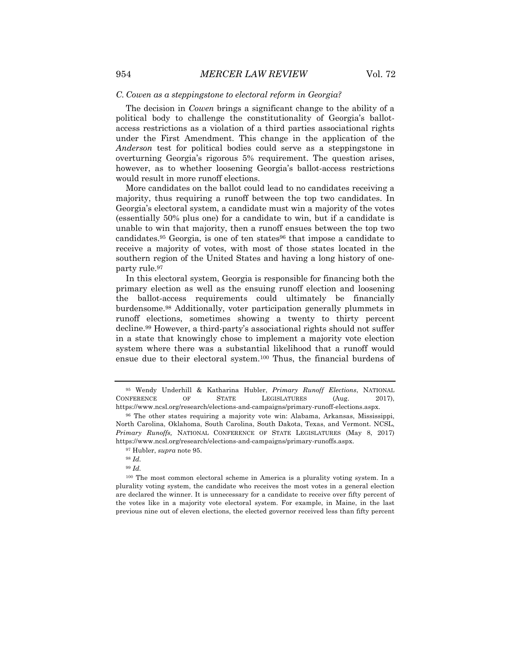#### *C. Cowen as a steppingstone to electoral reform in Georgia?*

The decision in *Cowen* brings a significant change to the ability of a political body to challenge the constitutionality of Georgia's ballotaccess restrictions as a violation of a third parties associational rights under the First Amendment. This change in the application of the *Anderson* test for political bodies could serve as a steppingstone in overturning Georgia's rigorous 5% requirement. The question arises, however, as to whether loosening Georgia's ballot-access restrictions would result in more runoff elections.

More candidates on the ballot could lead to no candidates receiving a majority, thus requiring a runoff between the top two candidates. In Georgia's electoral system, a candidate must win a majority of the votes (essentially 50% plus one) for a candidate to win, but if a candidate is unable to win that majority, then a runoff ensues between the top two candidates.<sup>95</sup> Georgia, is one of ten states<sup>96</sup> that impose a candidate to receive a majority of votes, with most of those states located in the southern region of the United States and having a long history of oneparty rule.97

In this electoral system, Georgia is responsible for financing both the primary election as well as the ensuing runoff election and loosening the ballot-access requirements could ultimately be financially burdensome.98 Additionally, voter participation generally plummets in runoff elections, sometimes showing a twenty to thirty percent decline.99 However, a third-party's associational rights should not suffer in a state that knowingly chose to implement a majority vote election system where there was a substantial likelihood that a runoff would ensue due to their electoral system.100 Thus, the financial burdens of

<sup>99</sup> *Id.* 

<sup>95</sup> Wendy Underhill & Katharina Hubler, *Primary Runoff Elections*, NATIONAL CONFERENCE OF STATE LEGISLATURES (Aug. 2017), https://www.ncsl.org/research/elections-and-campaigns/primary-runoff-elections.aspx.

<sup>96</sup> The other states requiring a majority vote win: Alabama, Arkansas, Mississippi, North Carolina, Oklahoma, South Carolina, South Dakota, Texas, and Vermont. NCSL, *Primary Runoffs,* NATIONAL CONFERENCE OF STATE LEGISLATURES (May 8, 2017) https://www.ncsl.org/research/elections-and-campaigns/primary-runoffs.aspx.

<sup>97</sup> Hubler, *supra* note 95.

<sup>98</sup> *Id.* 

<sup>100</sup> The most common electoral scheme in America is a plurality voting system. In a plurality voting system, the candidate who receives the most votes in a general election are declared the winner. It is unnecessary for a candidate to receive over fifty percent of the votes like in a majority vote electoral system. For example, in Maine, in the last previous nine out of eleven elections, the elected governor received less than fifty percent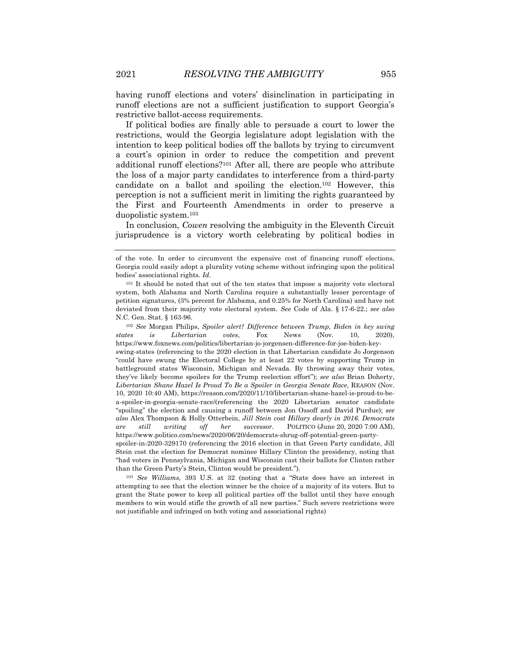having runoff elections and voters' disinclination in participating in runoff elections are not a sufficient justification to support Georgia's restrictive ballot-access requirements.

If political bodies are finally able to persuade a court to lower the restrictions, would the Georgia legislature adopt legislation with the intention to keep political bodies off the ballots by trying to circumvent a court's opinion in order to reduce the competition and prevent additional runoff elections?101 After all, there are people who attribute the loss of a major party candidates to interference from a third-party candidate on a ballot and spoiling the election.102 However, this perception is not a sufficient merit in limiting the rights guaranteed by the First and Fourteenth Amendments in order to preserve a duopolistic system.103

In conclusion, *Cowen* resolving the ambiguity in the Eleventh Circuit jurisprudence is a victory worth celebrating by political bodies in

<sup>102</sup> *See* Morgan Philips, *Spoiler alert? Difference between Trump, Biden in key swing states is Libertarian votes*, Fox News (Nov. 10, 2020), https://www.foxnews.com/politics/libertarian-jo-jorgensen-difference-for-joe-biden-keyswing-states (referencing to the 2020 election in that Libertarian candidate Jo Jorgenson "could have swung the Electoral College by at least 22 votes by supporting Trump in battleground states Wisconsin, Michigan and Nevada. By throwing away their votes, they've likely become spoilers for the Trump reelection effort"); *see also* Brian Doherty, *Libertarian Shane Hazel Is Proud To Be a Spoiler in Georgia Senate Race*, REASON (Nov. 10, 2020 10:40 AM), https://reason.com/2020/11/10/libertarian-shane-hazel-is-proud-to-bea-spoiler-in-georgia-senate-race/(referencing the 2020 Libertarian senator candidate "spoiling" the election and causing a runoff between Jon Ossoff and David Purdue); *see also* Alex Thompson & Holly Otterbein, *Jill Stein cost Hillary dearly in 2016. Democrats are still writing off her successor*. POLITICO (June 20, 2020 7:00 AM), https://www.politico.com/news/2020/06/20/democrats-shrug-off-potential-green-partyspoiler-in-2020-329170 (referencing the 2016 election in that Green Party candidate, Jill Stein cost the election for Democrat nominee Hillary Clinton the presidency, noting that "had voters in Pennsylvania, Michigan and Wisconsin cast their ballots for Clinton rather than the Green Party's Stein, Clinton would be president.").

<sup>103</sup> *See Williams,* 393 U.S. at 32 (noting that a "State does have an interest in attempting to see that the election winner be the choice of a majority of its voters. But to grant the State power to keep all political parties off the ballot until they have enough members to win would stifle the growth of all new parties." Such severe restrictions were not justifiable and infringed on both voting and associational rights)

of the vote. In order to circumvent the expensive cost of financing runoff elections, Georgia could easily adopt a plurality voting scheme without infringing upon the political bodies' associational rights. *Id.* 

<sup>101</sup> It should be noted that out of the ten states that impose a majority vote electoral system, both Alabama and North Carolina require a substantially lesser percentage of petition signatures, (3% percent for Alabama, and 0.25% for North Carolina) and have not deviated from their majority vote electoral system. *See* Code of Ala. § 17-6-22.; *see also*  N.C. Gen. Stat. § 163-96.